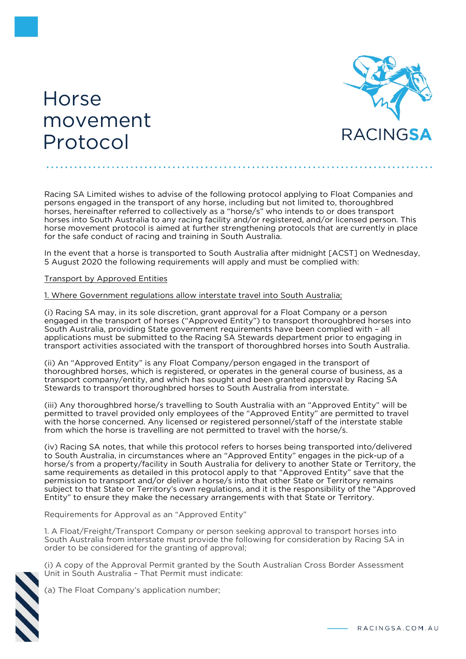## Horse movement Protocol



Racing SA Limited wishes to advise of the following protocol applying to Float Companies and persons engaged in the transport of any horse, including but not limited to, thoroughbred horses, hereinafter referred to collectively as a "horse/s" who intends to or does transport horses into South Australia to any racing facility and/or registered, and/or licensed person. This horse movement protocol is aimed at further strengthening protocols that are currently in place for the safe conduct of racing and training in South Australia.

In the event that a horse is transported to South Australia after midnight [ACST] on Wednesday, 5 August 2020 the following requirements will apply and must be complied with:

## Transport by Approved Entities

## 1. Where Government regulations allow interstate travel into South Australia;

(i) Racing SA may, in its sole discretion, grant approval for a Float Company or a person engaged in the transport of horses ("Approved Entity") to transport thoroughbred horses into South Australia, providing State government requirements have been complied with – all applications must be submitted to the Racing SA Stewards department prior to engaging in transport activities associated with the transport of thoroughbred horses into South Australia.

(ii) An "Approved Entity" is any Float Company/person engaged in the transport of thoroughbred horses, which is registered, or operates in the general course of business, as a transport company/entity, and which has sought and been granted approval by Racing SA Stewards to transport thoroughbred horses to South Australia from interstate.

(iii) Any thoroughbred horse/s travelling to South Australia with an "Approved Entity" will be permitted to travel provided only employees of the "Approved Entity" are permitted to travel with the horse concerned. Any licensed or registered personnel/staff of the interstate stable from which the horse is travelling are not permitted to travel with the horse/s.

(iv) Racing SA notes, that while this protocol refers to horses being transported into/delivered to South Australia, in circumstances where an "Approved Entity" engages in the pick-up of a horse/s from a property/facility in South Australia for delivery to another State or Territory, the same requirements as detailed in this protocol apply to that "Approved Entity" save that the permission to transport and/or deliver a horse/s into that other State or Territory remains subject to that State or Territory's own regulations, and it is the responsibility of the "Approved Entity" to ensure they make the necessary arrangements with that State or Territory.

Requirements for Approval as an "Approved Entity"

1. A Float/Freight/Transport Company or person seeking approval to transport horses into South Australia from interstate must provide the following for consideration by Racing SA in order to be considered for the granting of approval;

(i) A copy of the Approval Permit granted by the South Australian Cross Border Assessment Unit in South Australia – That Permit must indicate:

(a) The Float Company's application number;

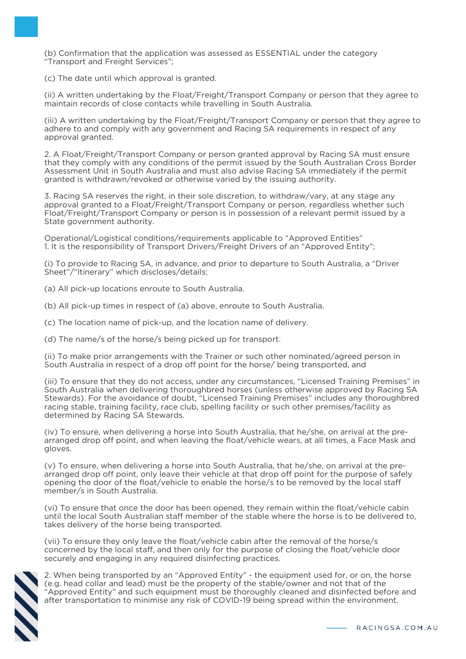(b) Confirmation that the application was assessed as ESSENTIAL under the category "Transport and Freight Services";

(c) The date until which approval is granted.

(ii) A written undertaking by the Float/Freight/Transport Company or person that they agree to maintain records of close contacts while travelling in South Australia.

(iii) A written undertaking by the Float/Freight/Transport Company or person that they agree to adhere to and comply with any government and Racing SA requirements in respect of any approval granted.

2. A Float/Freight/Transport Company or person granted approval by Racing SA must ensure that they comply with any conditions of the permit issued by the South Australian Cross Border Assessment Unit in South Australia and must also advise Racing SA immediately if the permit granted is withdrawn/revoked or otherwise varied by the issuing authority.

3. Racing SA reserves the right, in their sole discretion, to withdraw/vary, at any stage any approval granted to a Float/Freight/Transport Company or person, regardless whether such Float/Freight/Transport Company or person is in possession of a relevant permit issued by a State government authority.

Operational/Logistical conditions/requirements applicable to "Approved Entities" 1. It is the responsibility of Transport Drivers/Freight Drivers of an "Approved Entity";

(i) To provide to Racing SA, in advance, and prior to departure to South Australia, a "Driver Sheet"/"Itinerary" which discloses/details;

(a) All pick-up locations enroute to South Australia.

(b) All pick-up times in respect of (a) above, enroute to South Australia.

(c) The location name of pick-up, and the location name of delivery.

(d) The name/s of the horse/s being picked up for transport.

(ii) To make prior arrangements with the Trainer or such other nominated/agreed person in South Australia in respect of a drop off point for the horse/ being transported, and

(iii) To ensure that they do not access, under any circumstances, "Licensed Training Premises" in South Australia when delivering thoroughbred horses (unless otherwise approved by Racing SA Stewards). For the avoidance of doubt, "Licensed Training Premises" includes any thoroughbred racing stable, training facility, race club, spelling facility or such other premises/facility as determined by Racing SA Stewards.

(iv) To ensure, when delivering a horse into South Australia, that he/she, on arrival at the prearranged drop off point, and when leaving the float/vehicle wears, at all times, a Face Mask and gloves.

(v) To ensure, when delivering a horse into South Australia, that he/she, on arrival at the prearranged drop off point, only leave their vehicle at that drop off point for the purpose of safely opening the door of the float/vehicle to enable the horse/s to be removed by the local staff member/s in South Australia.

(vi) To ensure that once the door has been opened, they remain within the float/vehicle cabin until the local South Australian staff member of the stable where the horse is to be delivered to, takes delivery of the horse being transported.

(vii) To ensure they only leave the float/vehicle cabin after the removal of the horse/s concerned by the local staff, and then only for the purpose of closing the float/vehicle door securely and engaging in any required disinfecting practices.

2. When being transported by an "Approved Entity" - the equipment used for, or on, the horse (e.g. head collar and lead) must be the property of the stable/owner and not that of the "Approved Entity" and such equipment must be thoroughly cleaned and disinfected before and after transportation to minimise any risk of COVID-19 being spread within the environment.